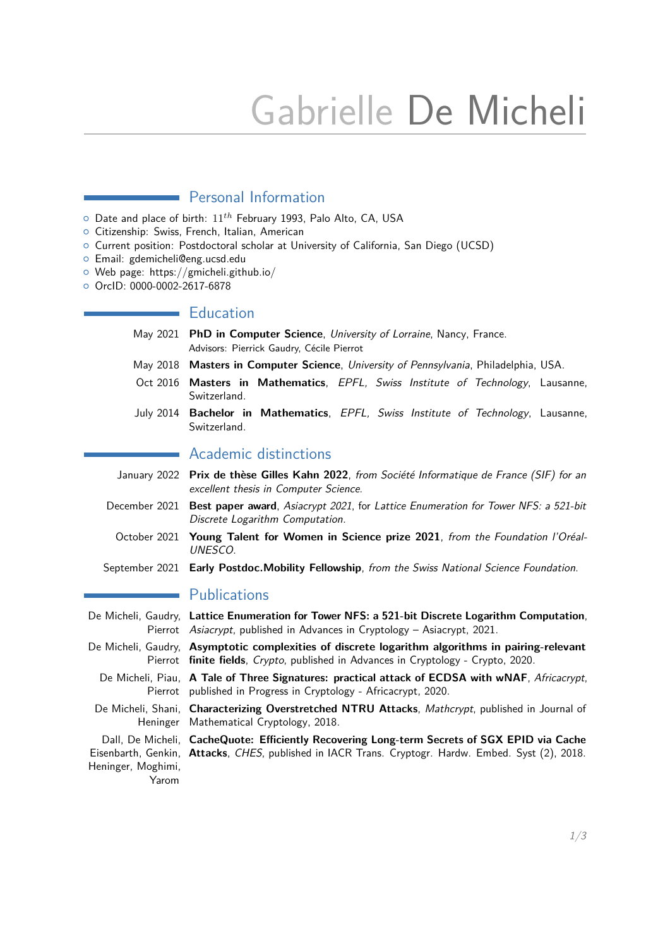# Gabrielle De Micheli

## **Personal Information**

- { Date and place of birth: 11*th* February 1993, Palo Alto, CA, USA
- o Citizenship: Swiss, French, Italian, American
- { Current position: Postdoctoral scholar at University of California, San Diego (UCSD)
- { Email: gdemicheli@eng.ucsd.edu
- { Web page: https://gmicheli.github.io/
- { OrcID: 0000-0002-2617-6878

#### $\blacksquare$  Education

- May 2021 **PhD in Computer Science**, University of Lorraine, Nancy, France. Advisors: Pierrick Gaudry, Cécile Pierrot
- May 2018 **Masters in Computer Science**, University of Pennsylvania, Philadelphia, USA.
- Oct 2016 **Masters in Mathematics**, EPFL, Swiss Institute of Technology, Lausanne, Switzerland.
- July 2014 **Bachelor in Mathematics**, EPFL, Swiss Institute of Technology, Lausanne, Switzerland.

#### Academic distinctions

- January 2022 **Prix de thèse Gilles Kahn 2022**, from Société Informatique de France (SIF) for an excellent thesis in Computer Science.
- December 2021 **Best paper award**, Asiacrypt 2021, for Lattice Enumeration for Tower NFS: a 521-bit Discrete Logarithm Computation.
	- October 2021 **Young Talent for Women in Science prize 2021**, from the Foundation l'Oréal-UNESCO.
- September 2021 **Early Postdoc.Mobility Fellowship**, from the Swiss National Science Foundation.

#### **Publications**

Yarom

- De Micheli, Gaudry, **Lattice Enumeration for Tower NFS: a 521-bit Discrete Logarithm Computation**, Pierrot Asiacrypt, published in Advances in Cryptology - Asiacrypt, 2021.
- De Micheli, Gaudry, **Asymptotic complexities of discrete logarithm algorithms in pairing-relevant** Pierrot **finite fields**, Crypto, published in Advances in Cryptology - Crypto, 2020.
	- De Micheli, Piau, A Tale of Three Signatures: practical attack of ECDSA with wNAF, Africacrypt, Pierrot published in Progress in Cryptology - Africacrypt, 2020.
	- De Micheli, Shani, Characterizing Overstretched NTRU Attacks, Mathcrypt, published in Journal of Heninger Mathematical Cryptology, 2018.

Dall, De Micheli, **CacheQuote: Efficiently Recovering Long-term Secrets of SGX EPID via Cache** Eisenbarth, Genkin, **Attacks**, CHES, published in IACR Trans. Cryptogr. Hardw. Embed. Syst (2), 2018. Heninger, Moghimi,

1[/3](#page-2-0)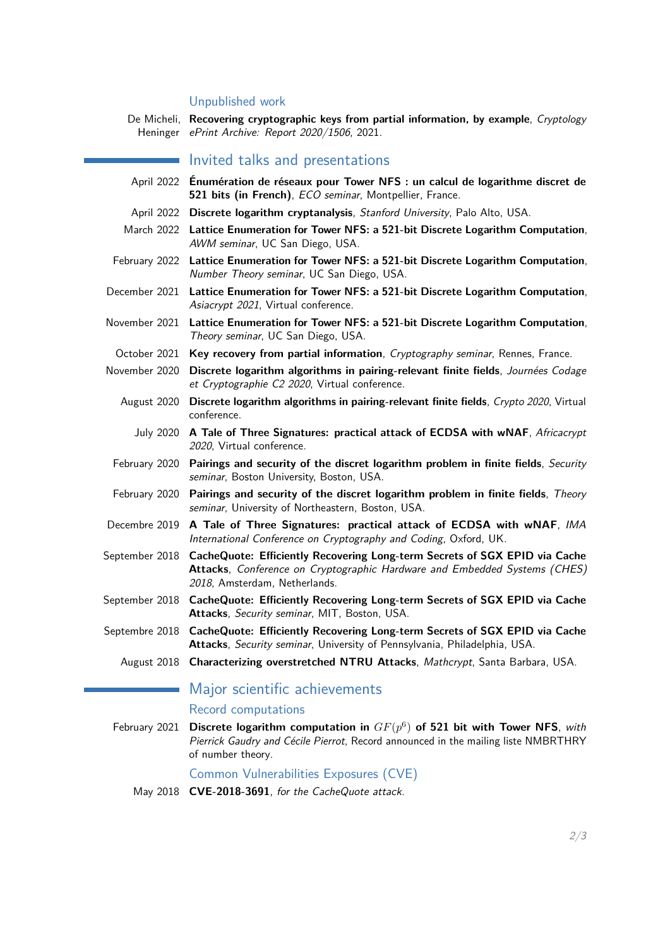#### Unpublished work

De Micheli, **Recovering cryptographic keys from partial information, by example**, Cryptology Heninger ePrint Archive: Report 2020/1506, 2021.

#### Invited talks and presentations

- April 2022 **Énumération de réseaux pour Tower NFS : un calcul de logarithme discret de 521 bits (in French)**, ECO seminar, Montpellier, France.
- April 2022 **Discrete logarithm cryptanalysis**, Stanford University, Palo Alto, USA.
- March 2022 **Lattice Enumeration for Tower NFS: a 521-bit Discrete Logarithm Computation**, AWM seminar, UC San Diego, USA.
- February 2022 **Lattice Enumeration for Tower NFS: a 521-bit Discrete Logarithm Computation**, Number Theory seminar, UC San Diego, USA.
- December 2021 **Lattice Enumeration for Tower NFS: a 521-bit Discrete Logarithm Computation**, Asiacrypt 2021, Virtual conference.
- November 2021 **Lattice Enumeration for Tower NFS: a 521-bit Discrete Logarithm Computation**, Theory seminar, UC San Diego, USA.
- October 2021 **Key recovery from partial information**, Cryptography seminar, Rennes, France.
- November 2020 **Discrete logarithm algorithms in pairing-relevant finite fields**, Journées Codage et Cryptographie C2 2020, Virtual conference.
	- August 2020 **Discrete logarithm algorithms in pairing-relevant finite fields**, Crypto 2020, Virtual conference.
		- July 2020 **A Tale of Three Signatures: practical attack of ECDSA with wNAF**, Africacrypt 2020, Virtual conference.
	- February 2020 **Pairings and security of the discret logarithm problem in finite fields**, Security seminar, Boston University, Boston, USA.
	- February 2020 **Pairings and security of the discret logarithm problem in finite fields**, Theory seminar, University of Northeastern, Boston, USA.
- Decembre 2019 **A Tale of Three Signatures: practical attack of ECDSA with wNAF**, IMA International Conference on Cryptography and Coding, Oxford, UK.
- September 2018 **CacheQuote: Efficiently Recovering Long-term Secrets of SGX EPID via Cache Attacks**, Conference on Cryptographic Hardware and Embedded Systems (CHES) 2018, Amsterdam, Netherlands.
- September 2018 **CacheQuote: Efficiently Recovering Long-term Secrets of SGX EPID via Cache Attacks**, Security seminar, MIT, Boston, USA.
- Septembre 2018 **CacheQuote: Efficiently Recovering Long-term Secrets of SGX EPID via Cache Attacks**, Security seminar, University of Pennsylvania, Philadelphia, USA.
	- August 2018 **Characterizing overstretched NTRU Attacks**, Mathcrypt, Santa Barbara, USA.

## Major scientific achievements

#### Record computations

February 2021 **Discrete logarithm computation in** *GF*(*p* 6 ) **of 521 bit with Tower NFS**, with Pierrick Gaudry and Cécile Pierrot, Record announced in the mailing liste NMBRTHRY of number theory.

Common Vulnerabilities Exposures (CVE)

May 2018 **CVE-2018-3691**, for the CacheQuote attack.